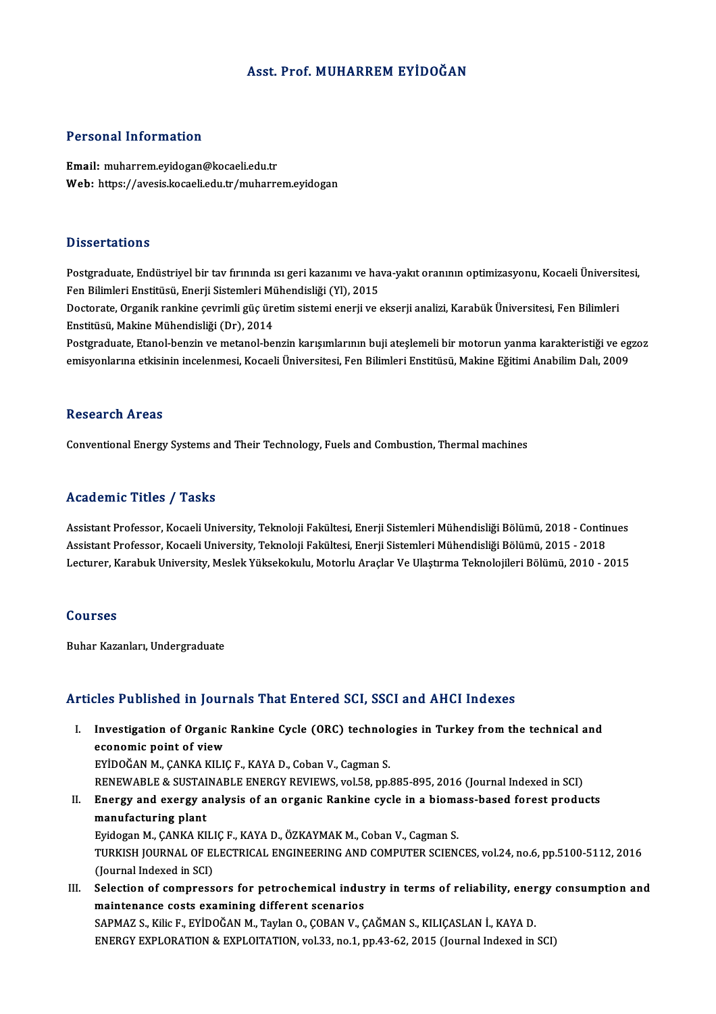#### Asst. Prof.MUHARREMEYİDOĞAN

#### Personal Information

Email: muharrem.eyidogan@kocaeli.edu.tr Web: https://avesis.kocaeli.edu.tr/muharrem.eyidogan

#### **Dissertations**

Postgraduate, Endüstriyel bir tav firininda ısı geri kazanımı ve hava-yakıt oranının optimizasyonu, Kocaeli Üniversitesi, Fen Bilimleri Enstitüsü, Enerji Sistemleri Mühendisliği (Yl), 2015 Postgraduate, Endüstriyel bir tav firininda isi geri kazanimi ve hava-yakit oraninin optimizasyonu, Kocaeli Üniversi<br>Fen Bilimleri Enstitüsü, Enerji Sistemleri Mühendisliği (Yl), 2015<br>Doctorate, Organik rankine çevrimli gü

Fen Bilimleri Enstitüsü, Enerji Sistemleri Mü<br>Doctorate, Organik rankine çevrimli güç üre<br>Enstitüsü, Makine Mühendisliği (Dr), 2014<br>Postsraduate Etanel benzin ve matanel be Doctorate, Organik rankine çevrimli güç üretim sistemi enerji ve ekserji analizi, Karabük Üniversitesi, Fen Bilimleri<br>Enstitüsü, Makine Mühendisliği (Dr), 2014<br>Postgraduate, Etanol-benzin ve metanol-benzin karışımlarının b

Enstitüsü, Makine Mühendisliği (Dr), 2014<br>Postgraduate, Etanol-benzin ve metanol-benzin karışımlarının buji ateşlemeli bir motorun yanma karakteristiği ve egzoz<br>emisyonlarına etkisinin incelenmesi, Kocaeli Üniversitesi, Fe

#### **Research Areas**

Conventional Energy Systems and Their Technology, Fuels and Combustion, Thermal machines

#### Academic Titles / Tasks

Assistant Professor, Kocaeli University, Teknoloji Fakültesi, Enerji Sistemleri Mühendisliği Bölümü, 2018 - Continues 110aa SIII - 11008 7 1101.<br>Assistant Professor, Kocaeli University, Teknoloji Fakültesi, Enerji Sistemleri Mühendisliği Bölümü, 2018 - Contir<br>Lecturer, Karabuk University, Meslek Vüksekelnuy, Meterlu Araslar Ve Ulesturma T Assistant Professor, Kocaeli University, Teknoloji Fakültesi, Enerji Sistemleri Mühendisliği Bölümü, 2018 - Continues<br>Assistant Professor, Kocaeli University, Teknoloji Fakültesi, Enerji Sistemleri Mühendisliği Bölümü, 201 Lecturer, Karabuk University, Meslek Yüksekokulu, Motorlu Araçlar Ve Ulaştırma Teknolojileri Bölümü, 2010 - 2015<br>Courses

Buhar Kazanları, Undergraduate

#### Articles Published in Journals That Entered SCI, SSCI and AHCI Indexes

- rticles Published in Journals That Entered SCI, SSCI and AHCI Indexes<br>I. Investigation of Organic Rankine Cycle (ORC) technologies in Turkey from the technical and<br>Assonomic point of view Investigation of Organic<br>Investigation of Organic<br>EVIDOČAN M. CANKA KILIO Investigation of Organic Rankine Cycle (ORC) technolo<br>economic point of view<br>EYİDOĞAN M., ÇANKA KILIÇ F., KAYA D., Coban V., Cagman S.<br>PENEWAPLE 8. SUSTAINAPLE ENERCY PEVIEWS .vol 59. pp. economic point of view<br>EYİDOĞAN M., ÇANKA KILIÇ F., KAYA D., Coban V., Cagman S.<br>RENEWABLE & SUSTAINABLE ENERGY REVIEWS, vol.58, pp.885-895, 2016 (Journal Indexed in SCI)<br>Energy and exergy analysis of an exganis Bankine sy
- EYİDOĞAN M., ÇANKA KILIÇ F., KAYA D., Coban V., Cagman S.<br>RENEWABLE & SUSTAINABLE ENERGY REVIEWS, vol.58, pp.885-895, 2016 (Journal Indexed in SCI)<br>II. Energy and exergy analysis of an organic Rankine cycle in a biomass-ba RENEWABLE & SUSTAI<br>Energy and exergy a<br>manufacturing plant<br>Evideson M. CANKA KI Energy and exergy analysis of an organic Rankine cycle in a bioma<br>manufacturing plant<br>Eyidogan M., ÇANKA KILIÇ F., KAYA D., ÖZKAYMAK M., Coban V., Cagman S.<br>TURKISH JOURNAL OF ELECTRICAL ENCINEERING AND COMPUTER SCIEN: manufacturing plant<br>Eyidogan M., ÇANKA KILIÇ F., KAYA D., ÖZKAYMAK M., Coban V., Cagman S.<br>TURKISH JOURNAL OF ELECTRICAL ENGINEERING AND COMPUTER SCIENCES, vol.24, no.6, pp.5100-5112, 2016<br>(Journal Indexed in SCI) Eyidogan M., ÇANKA KILI<br>TURKISH JOURNAL OF EI<br>(Journal Indexed in SCI)<br>Selection of compress TURKISH JOURNAL OF ELECTRICAL ENGINEERING AND COMPUTER SCIENCES, vol.24, no.6, pp.5100-5112, 2016<br>(Journal Indexed in SCI)<br>III. Selection of compressors for petrochemical industry in terms of reliability, energy consumptio
- (Journal Indexed in SCI)<br>Selection of compressors for petrochemical indus<br>maintenance costs examining different scenarios<br>SARMAZ S. Kike E. EVIDOČAN M. Taylan O. CORAN V. C Selection of compressors for petrochemical industry in terms of reliability, ener<br>maintenance costs examining different scenarios<br>SAPMAZ S., Kilic F., EYİDOĞAN M., Taylan O., ÇOBAN V., ÇAĞMAN S., KILIÇASLAN İ., KAYA D.<br>ENE maintenance costs examining different scenarios<br>SAPMAZ S., Kilic F., EYİDOĞAN M., Taylan O., ÇOBAN V., ÇAĞMAN S., KILIÇASLAN İ., KAYA D.<br>ENERGY EXPLORATION & EXPLOITATION, vol.33, no.1, pp.43-62, 2015 (Journal Indexed in S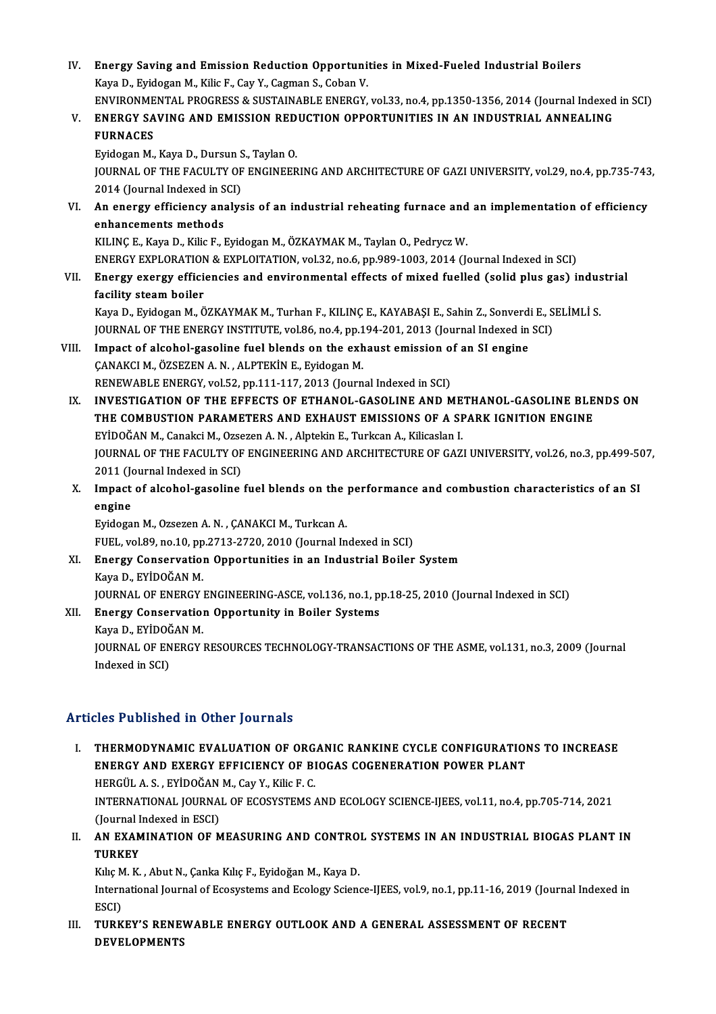IV. Energy Saving and Emission Reduction Opportunities in Mixed-Fueled Industrial Boilers<br>Kava D. Evidegen M. Kilja E. Cav. V. Cagman S. Coban V. Energy Saving and Emission Reduction Opportuni<br>Kaya D., Eyidogan M., Kilic F., Cay Y., Cagman S., Coban V.<br>ENWIRONMENTAL PROCRESS & SUSTAINARLE ENERCY. Energy Saving and Emission Reduction Opportunities in Mixed-Fueled Industrial Boilers<br>Kaya D., Eyidogan M., Kilic F., Cay Y., Cagman S., Coban V.<br>ENVIRONMENTAL PROGRESS & SUSTAINABLE ENERGY, vol.33, no.4, pp.1350-1356, 201 Kaya D., Eyidogan M., Kilic F., Cay Y., Cagman S., Coban V.<br>ENVIRONMENTAL PROGRESS & SUSTAINABLE ENERGY, vol.33, no.4, pp.1350-1356, 2014 (Journal Indexed<br>V. ENERGY SAVING AND EMISSION REDUCTION OPPORTUNITIES IN AN INDUSTR ENVIRONME<br>ENERGY SA<br>FURNACES<br>Evidosen M ENERGY SAVING AND EMISSION RED<br>FURNACES<br>Eyidogan M., Kaya D., Dursun S., Taylan O.<br>JOUPNAL OF THE EACULTY OF ENCINEER FURNACES<br>Eyidogan M., Kaya D., Dursun S., Taylan O.<br>JOURNAL OF THE FACULTY OF ENGINEERING AND ARCHITECTURE OF GAZI UNIVERSITY, vol.29, no.4, pp.735-743,<br>2014 (Journal Indoxed in SCI) Eyidogan M., Kaya D., Dursun S<br>JOURNAL OF THE FACULTY OF<br>2014 (Journal Indexed in SCI)<br>An anargy officiancy analys JOURNAL OF THE FACULTY OF ENGINEERING AND ARCHITECTURE OF GAZI UNIVERSITY, vol.29, no.4, pp.735-743<br>2014 (Journal Indexed in SCI)<br>VI. An energy efficiency analysis of an industrial reheating furnace and an implementation o 2014 (Journal Indexed in S<br>An energy efficiency and<br>enhancements methods<br>FULINGE Fore D. Filio F. L An energy efficiency analysis of an industrial reheating furnace and<br>enhancements methods<br>KILINÇ E., Kaya D., Kilic F., Eyidogan M., ÖZKAYMAK M., Taylan O., Pedrycz W.<br>ENEPCY EYPLORATION & EYPLOTATION Vel 32 no 6 nn 999 19 enhancements methods<br>KILINÇ E., Kaya D., Kilic F., Eyidogan M., ÖZKAYMAK M., Taylan O., Pedrycz W.<br>ENERGY EXPLORATION & EXPLOITATION, vol.32, no.6, pp.989-1003, 2014 (Journal Indexed in SCI) KILINÇ E., Kaya D., Kilic F., Eyidogan M., ÖZKAYMAK M., Taylan O., Pedrycz W.<br>ENERGY EXPLORATION & EXPLOITATION, vol.32, no.6, pp.989-1003, 2014 (Journal Indexed in SCI)<br>VII. Energy exergy efficiencies and environmenta ENERGY EXPLORATION<br>Energy exergy efficie<br>facility steam boiler<br>Kava D. Evidesen M. Ö Energy exergy efficiencies and environmental effects of mixed fuelled (solid plus gas) indus<br>facility steam boiler<br>Kaya D., Eyidogan M., ÖZKAYMAK M., Turhan F., KILINÇ E., KAYABAŞI E., Sahin Z., Sonverdi E., SELİMLİ S.<br>JOU facility steam boiler<br>Kaya D., Eyidogan M., ÖZKAYMAK M., Turhan F., KILINÇ E., KAYABAŞI E., Sahin Z., Sonverdi E., SELİMLİ S. VIII. Impact of alcohol-gasoline fuel blends on the exhaust emission of an SI engine<br>CANAKCI M., ÖZSEZEN A. N., ALPTEKIN E., Evidogan M. JOURNAL OF THE ENERGY INSTITUTE, vol.86, no.4, pp.194-201, 2013 (Journal Indexed in SCI) RENEWABLE ENERGY, vol.52, pp.111-117, 2013 (Journal Indexed in SCI) CANAKCI M., ÖZSEZEN A. N. , ALPTEKİN E., Eyidogan M.<br>RENEWABLE ENERGY, vol.52, pp.111-117, 2013 (Journal Indexed in SCI)<br>IX. INVESTIGATION OF THE EFFECTS OF ETHANOL-GASOLINE AND METHANOL-GASOLINE BLENDS ON<br>THE COMPUSTION P RENEWABLE ENERGY, vol.52, pp.111-117, 2013 (Journal Indexed in SCI)<br>INVESTIGATION OF THE EFFECTS OF ETHANOL-GASOLINE AND METHANOL-GASOLINE BLE<br>THE COMBUSTION PARAMETERS AND EXHAUST EMISSIONS OF A SPARK IGNITION ENGINE<br>EVID INVESTIGATION OF THE EFFECTS OF ETHANOL-GASOLINE AND ME<br>THE COMBUSTION PARAMETERS AND EXHAUST EMISSIONS OF A SF<br>EYİDOĞAN M., Canakci M., Ozsezen A. N. , Alptekin E., Turkcan A., Kilicaslan I.<br>JOUPNAL OF THE EACULTY OF ENCI THE COMBUSTION PARAMETERS AND EXHAUST EMISSIONS OF A SPARK IGNITION ENGINE<br>EYİDOĞAN M., Canakci M., Ozsezen A. N. , Alptekin E., Turkcan A., Kilicaslan I.<br>JOURNAL OF THE FACULTY OF ENGINEERING AND ARCHITECTURE OF GAZI UNIV EYİDOĞAN M., Canakci M., Ozse<br>JOURNAL OF THE FACULTY OF<br>2011 (Journal Indexed in SCI)<br>Imnast of alsabal sasalina JOURNAL OF THE FACULTY OF ENGINEERING AND ARCHITECTURE OF GAZI UNIVERSITY, vol.26, no.3, pp.499-5(<br>2011 (Journal Indexed in SCI)<br>X. Impact of alcohol-gasoline fuel blends on the performance and combustion characteristics o 2011 (Journal Indexed in SCI)<br>Impact of alcohol-gasoline fuel blends on the p<br>engine<br>Evidogan M., Ozsezen A. N. , CANAKCI M., Turkcan A. X. Impact of alcohol-gasoline fuel blends on the performance and combustion characteristics of an SI FUEL,vol.89,no.10,pp.2713-2720,2010 (Journal Indexed inSCI) Eyidogan M., Ozsezen A. N. , ÇANAKCI M., Turkcan A.<br>FUEL, vol.89, no.10, pp.2713-2720, 2010 (Journal Indexed in SCI)<br>XI. Energy Conservation Opportunities in an Industrial Boiler System<br>Kaya D. EVIDOČAN M. FUEL, vol.89, no.10, pp<br><mark>Energy Conservatio</mark><br>Kaya D., EYİDOĞAN M.<br>JOUPNAL OE ENERCY I Kaya D., EYİDOĞAN M.<br>JOURNAL OF ENERGY ENGINEERING-ASCE, vol.136, no.1, pp.18-25, 2010 (Journal Indexed in SCI) Kaya D., EYİDOĞAN M.<br>JOURNAL OF ENERGY ENGINEERING-ASCE, vol.136, no.1, p<br>XII. Energy Conservation Opportunity in Boiler Systems<br>Kaya D. EVİDOĞAN M. JOURNAL OF ENERGY<br><mark>Energy Conservatio</mark><br>Kaya D., EYİDOĞAN M.<br>JOUPNAL OF ENERCY I Energy Conservation Opportunity in Boiler Systems<br>Kaya D., EYİDOĞAN M.<br>JOURNAL OF ENERGY RESOURCES TECHNOLOGY-TRANSACTIONS OF THE ASME, vol.131, no.3, 2009 (Journal<br>Indeved in SCL) Kaya D., EYİDOČ<br>JOURNAL OF EN<br>Indexed in SCI)

## Articles Published in Other Journals

- I. THERMODYNAMIC EVALUATION OF ORGANIC RANKINE CYCLE CONFIGURATIONS TO INCREASE ENERGY AND EXERGY EFFICIENCY OF BIOGAS COGENERATION POWER PLANT THERMODYNAMIC EVALUATION OF ORG<br>ENERGY AND EXERGY EFFICIENCY OF BI<br>HERGÜL A. S. , EYİDOĞAN M., Cay Y., Kilic F. C.<br>INTERNATIONAL JOURNAL OE ECOSYSTEMS INTERNATIONAL JOURNAL OF ECOSYSTEMS AND ECOLOGY SCIENCE-IJEES, vol.11, no.4, pp.705-714, 2021<br>(Journal Indexed in ESCI) HERGÜL A. S. , EYİDOĞAN<br>INTERNATIONAL JOURNA<br>(Journal Indexed in ESCI)<br>AN EXAMINATION OF M INTERNATIONAL JOURNAL OF ECOSYSTEMS AND ECOLOGY SCIENCE-IJEES, vol.11, no.4, pp.705-714, 2021<br>(Journal Indexed in ESCI)<br>II. AN EXAMINATION OF MEASURING AND CONTROL SYSTEMS IN AN INDUSTRIAL BIOGAS PLANT IN<br>TIIBERY
- (Journal I)<br>AN EXAM<br>TURKEY AN EXAMINATION OF MEASURING AND CONTRO.<br>TURKEY<br>Kılıç M. K. , Abut N., Çanka Kılıç F., Eyidoğan M., Kaya D.<br>International Journal of Esseystems and Esslegy Sciens

TURKEY<br>Kılıç M. K. , Abut N., Çanka Kılıç F., Eyidoğan M., Kaya D.<br>International Journal of Ecosystems and Ecology Science-IJEES, vol.9, no.1, pp.11-16, 2019 (Journal Indexed in<br>ESCD Kılıç M. K. , Abut N., Çanka Kılıç F., Eyidoğan M., Kaya D.<br>International Journal of Ecosystems and Ecology Science-IJEES, vol.9, no.1, pp.11-16, 2019 (Journa<br>ESCI)<br>III. TURKEY'S RENEWABLE ENERGY OUTLOOK AND A GENERAL International Journal of Ecosystems and Ecology Science-IJEES, vol.9, no.1, pp.11-16, 2019 (Journa<br>ESCI)<br>III. TURKEY'S RENEWABLE ENERGY OUTLOOK AND A GENERAL ASSESSMENT OF RECENT<br>DEVELOPMENTS

DEVELOPMENTS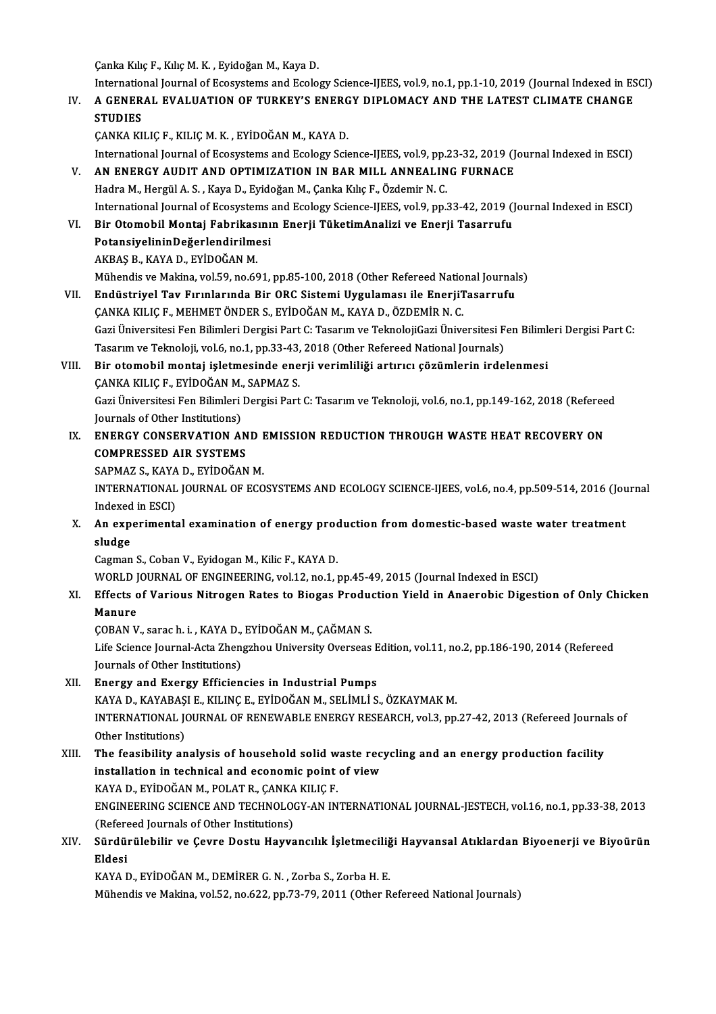Çanka Kılıç F., Kılıç M. K., Eyidoğan M., Kaya D.

International Journal of Ecosystems and Ecology Science-IJEES, vol.9, no.1, pp.1-10, 2019 (Journal Indexed in ESCI)

Canka Kılıç F., Kılıç M. K. , Eyidoğan M., Kaya D.<br>International Journal of Ecosystems and Ecology Science-IJEES, vol.9, no.1, pp.1-10, 2019 (Journal Indexed in E<br>IV. A GENERAL EVALUATION OF TURKEY'S ENERGY DIPLOMACY A Internation<br>A GENER<br>STUDIES<br>CANEA EU A GENERAL EVALUATION OF TURKEY'S ENERG<br>STUDIES<br>ÇANKA KILIÇ F., KILIÇ M. K. , EYİDOĞAN M., KAYA D.<br>International Journal of Ecosystems and Ecology Scie

STUDIES<br>ÇANKA KILIÇ F., KILIÇ M. K. , EYİDOĞAN M., KAYA D.<br>International Journal of Ecosystems and Ecology Science-IJEES, vol.9, pp.23-32, 2019 (Journal Indexed in ESCI)

- CANKA KILIÇ F., KILIÇ M. K., EYİDOĞAN M., KAYA D.<br>International Journal of Ecosystems and Ecology Science-IJEES, vol.9, pp.23-32, 2019 (J<br>V. AN ENERGY AUDIT AND OPTIMIZATION IN BAR MILL ANNEALING FURNACE<br>Hadra M. Hargil A. International Journal of Ecosystems and Ecology Science-IJEES, vol.9, pp.:<br>AN ENERGY AUDIT AND OPTIMIZATION IN BAR MILL ANNEALIN<br>Hadra M., Hergül A. S. , Kaya D., Eyidoğan M., Çanka Kılıç F., Özdemir N. C.<br>International Jo AN ENERGY AUDIT AND OPTIMIZATION IN BAR MILL ANNEALING FURNACE<br>Hadra M., Hergül A. S. , Kaya D., Eyidoğan M., Çanka Kılıç F., Özdemir N. C.<br>International Journal of Ecosystems and Ecology Science-IJEES, vol.9, pp.33-42, 20
- Hadra M., Hergül A. S. , Kaya D., Eyidoğan M., Çanka Kılıç F., Özdemir N. C.<br>International Journal of Ecosystems and Ecology Science-IJEES, vol.9, pp.33-42, 2019 (J<br>VI. Bir Otomobil Montaj Fabrikasının Enerji TüketimAnaliz International Journal of Ecosystems<br>Bir Otomobil Montaj Fabrikasını<br>PotansiyelininDeğerlendirilmesi<br>AKRAS R. KAYA D. EVİDOČAN M Bir Otomobil Montaj Fabrikas<br>PotansiyelininDeğerlendirilme<br>AKBAŞ B., KAYA D., EYİDOĞAN M.<br>Mühandia*va* Makina val 59 na 66 PotansiyelininDeğerlendirilmesi<br>AKBAŞ B., KAYA D., EYİDOĞAN M.<br>Mühendis ve Makina, vol.59, no.691, pp.85-100, 2018 (Other Refereed National Journals) AKBAŞ B., KAYA D., EYİDOĞAN M.<br>Mühendis ve Makina, vol.59, no.691, pp.85-100, 2018 (Other Refereed National Journal<br>VII. Budüstriyel Tav Fırınlarında Bir ORC Sistemi Uygulaması ile EnerjiTasarrufu<br>CANKA KU ICE, MEHMETÖNDER
- Mühendis ve Makina, vol.59, no.691, pp.85-100, 2018 (Other Refereed Natio<br>Endüstriyel Tav Fırınlarında Bir ORC Sistemi Uygulaması ile EnerjiT<br>ÇANKA KILIÇ F., MEHMET ÖNDER S., EYİDOĞAN M., KAYA D., ÖZDEMİR N. C.<br>Ceri Üniver Endüstriyel Tav Fırınlarında Bir ORC Sistemi Uygulaması ile EnerjiTasarrufu<br>ÇANKA KILIÇ F., MEHMET ÖNDER S., EYİDOĞAN M., KAYA D., ÖZDEMİR N. C.<br>Gazi Üniversitesi Fen Bilimleri Dergisi Part C: Tasarım ve TeknolojiGazi Üniv ÇANKA KILIÇ F., MEHMET ÖNDER S., EYİDOĞAN M., KAYA D., ÖZDEMİR N. C.<br>Gazi Üniversitesi Fen Bilimleri Dergisi Part C: Tasarım ve TeknolojiGazi Üniversitesi F<br>Tasarım ve Teknoloji, vol.6, no.1, pp.33-43, 2018 (Other Refereed Gazi Üniversitesi Fen Bilimleri Dergisi Part C: Tasarım ve TeknolojiGazi Üniversitesi Fen Bilimleri<br>Tasarım ve Teknoloji, vol.6, no.1, pp.33-43, 2018 (Other Refereed National Journals)<br>VIII. Bir otomobil montaj işletmesind
- Tasarım ve Teknoloji, vol.6, no.1, pp.33-43,<br>Bir otomobil montaj işletmesinde ene<br>ÇANKA KILIÇ F., EYİDOĞAN M., SAPMAZ S.<br>Çeri Üniversitesi Fen Bilimleri Dergisi Bert Bir otomobil montaj işletmesinde enerji verimliliği artırıcı çözümlerin irdelenmesi<br>ÇANKA KILIÇ F., EYİDOĞAN M., SAPMAZ S.<br>Gazi Üniversitesi Fen Bilimleri Dergisi Part C: Tasarım ve Teknoloji, vol.6, no.1, pp.149-162, 2018 CANKA KILIC F., EYİDOĞAN M.,<br>Gazi Üniversitesi Fen Bilimleri<br>Journals of Other Institutions)<br>ENERCY CONSERVATION AL Gazi Üniversitesi Fen Bilimleri Dergisi Part C: Tasarım ve Teknoloji, vol.6, no.1, pp.149-162, 2018 (Referee<br>Journals of Other Institutions)<br>IX. ENERGY CONSERVATION AND EMISSION REDUCTION THROUGH WASTE HEAT RECOVERY ON<br>COM
- Journals of Other Institutions)<br>IX. ENERGY CONSERVATION AND EMISSION REDUCTION THROUGH WASTE HEAT RECOVERY ON<br>COMPRESSED AIR SYSTEMS

SAPMAZ S., KAYA D., EYİDOĞAN M.

COMPRESSED AIR SYSTEMS<br>SAPMAZ S., KAYA D., EYİDOĞAN M.<br>INTERNATIONAL JOURNAL OF ECOSYSTEMS AND ECOLOGY SCIENCE-IJEES, vol.6, no.4, pp.509-514, 2016 (Journal SAPMAZ S., KAYA<br>INTERNATIONAL<br>Indexed in ESCI)<br>An experiments INTERNATIONAL JOURNAL OF ECOSYSTEMS AND ECOLOGY SCIENCE-IJEES, vol.6, no.4, pp.509-514, 2016 (Journal)<br>Indexed in ESCI)<br>X. An experimental examination of energy production from domestic-based waste water treatment<br>cludge

Indexed<br>**An exp**<br>sludge<br>German An experimental examination of energy proce<br>Sludge<br>Cagman S., Coban V., Eyidogan M., Kilic F., KAYA D.<br>WORLD JOURNAL OF ENCINEERING .vol.1.2, no.1.. sludge<br>Cagman S., Coban V., Eyidogan M., Kilic F., KAYA D.<br>WORLD JOURNAL OF ENGINEERING, vol.12, no.1, pp.45-49, 2015 (Journal Indexed in ESCI)<br>Effects of Vorious Nitrogan Pates to Biogas Production Vield in Angerabis Dise

Cagman S., Coban V., Eyidogan M., Kilic F., KAYA D.<br>WORLD JOURNAL OF ENGINEERING, vol.12, no.1, pp.45-49, 2015 (Journal Indexed in ESCI)<br>XI. Effects of Various Nitrogen Rates to Biogas Production Yield in Anaerobic Digesti WORLD J<br>Effects c<br>Manure<br>CORAN V Effects of Various Nitrogen Rates to Biogas Produe<br>Manure<br>ÇOBAN V., sarac h. i. , KAYA D., EYİDOĞAN M., ÇAĞMAN S.<br>Life Science Journal Acta Zhongrhou University Overseas

Life Science Journal-Acta Zhengzhou University Overseas Edition, vol.11, no.2, pp.186-190, 2014 (Refereed Journals of Other Institutions) COBAN V., sarac h. i. , KAYA D.,<br>Life Science Journal-Acta Zhen,<br>Journals of Other Institutions)<br>Energy and Exergy Efficien

XII. Energy and Exergy Efficiencies in Industrial Pumps

KAYA D., KAYABAŞI E., KILINÇ E., EYİDOĞAN M., SELİMLİ S., ÖZKAYMAK M. Energy and Exergy Efficiencies in Industrial Pumps<br>KAYA D., KAYABAŞI E., KILINÇ E., EYİDOĞAN M., SELİMLİ S., ÖZKAYMAK M.<br>INTERNATIONAL JOURNAL OF RENEWABLE ENERGY RESEARCH, vol.3, pp.27-42, 2013 (Refereed Journals of<br>Otber KAYA D., KAYABAŞ<br>INTERNATIONAL JO<br>Other Institutions)<br>The feasibility an INTERNATIONAL JOURNAL OF RENEWABLE ENERGY RESEARCH, vol.3, pp.27-42, 2013 (Refereed Journa<br>Other Institutions)<br>XIII. The feasibility analysis of household solid waste recycling and an energy production facility<br>installatio

## Other Institutions)<br>The feasibility analysis of household solid waste rect<br>installation in technical and economic point of view<br>KAVA D, EVIDOČAN M, POLAT R, CANKA KU IC E The feasibility analysis of household solid w<br>installation in technical and economic point<br>KAYA D., EYİDOĞAN M., POLAT R., ÇANKA KILIÇ F.<br>ENCIMEERING SCIENCE AND TECHNOLOCY AN IN installation in technical and economic point of view<br>KAYA D., EYİDOĞAN M., POLAT R., ÇANKA KILIÇ F.<br>ENGINEERING SCIENCE AND TECHNOLOGY-AN INTERNATIONAL JOURNAL-JESTECH, vol.16, no.1, pp.33-38, 2013 KAYA D., EYİDOĞAN M., POLAT R., CANKA KILIÇ F. (Refereed Journals of Other Institutions)

XIV. Sürdürülebilir ve Çevre Dostu Hayvancılık İşletmeciliği Hayvansal Atıklardan Biyoenerji ve Biyoürün

KAYAD.,EYİDOĞANM.,DEMİRERG.N. ,Zorba S.,ZorbaH.E.

Mühendis ve Makina, vol.52, no.622, pp.73-79, 2011 (Other Refereed National Journals)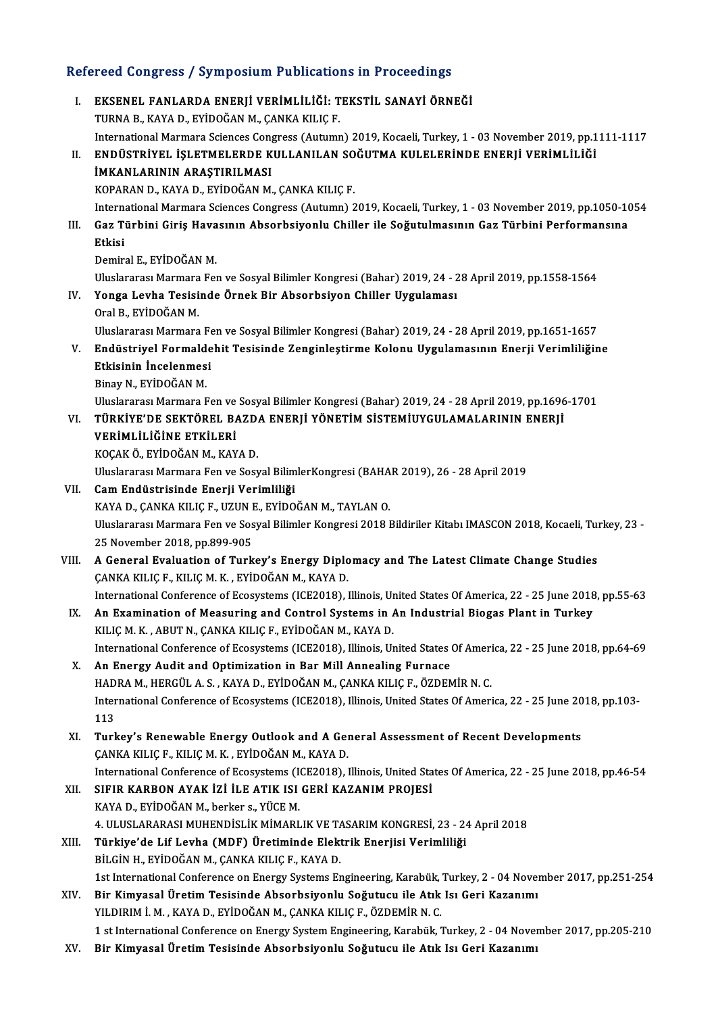# Refereed Congress / Symposium Publications in Proceedings<br>Refereed Congress / Symposium Publications in Proceedings

| Refereed Congress / Symposium Publications in Proceedings |                                                                                                                                                                                                                        |
|-----------------------------------------------------------|------------------------------------------------------------------------------------------------------------------------------------------------------------------------------------------------------------------------|
| Ι.                                                        | EKSENEL FANLARDA ENERJİ VERİMLİLİĞİ: TEKSTİL SANAYİ ÖRNEĞİ<br>TURNA B., KAYA D., EYİDOĞAN M., ÇANKA KILIÇ F.                                                                                                           |
| П.                                                        | International Marmara Sciences Congress (Autumn) 2019, Kocaeli, Turkey, 1 - 03 November 2019, pp.1111-1117<br>ENDÜSTRIYEL İŞLETMELERDE KULLANILAN SOĞUTMA KULELERİNDE ENERJİ VERİMLİLİĞİ<br>İMKANLARININ ARAŞTIRILMASI |
|                                                           | KOPARAN D., KAYA D., EYİDOĞAN M., ÇANKA KILIÇ F.                                                                                                                                                                       |
|                                                           | International Marmara Sciences Congress (Autumn) 2019, Kocaeli, Turkey, 1 - 03 November 2019, pp.1050-1054                                                                                                             |
| III.                                                      | Gaz Türbini Giriş Havasının Absorbsiyonlu Chiller ile Soğutulmasının Gaz Türbini Performansına                                                                                                                         |
|                                                           | Etkisi                                                                                                                                                                                                                 |
|                                                           | Demiral E., EYİDOĞAN M.                                                                                                                                                                                                |
|                                                           | Uluslararası Marmara Fen ve Sosyal Bilimler Kongresi (Bahar) 2019, 24 - 28 April 2019, pp.1558-1564                                                                                                                    |
| IV.                                                       | Yonga Levha Tesisinde Örnek Bir Absorbsiyon Chiller Uygulaması                                                                                                                                                         |
|                                                           | Oral B., EYİDOĞAN M.                                                                                                                                                                                                   |
|                                                           | Uluslararası Marmara Fen ve Sosyal Bilimler Kongresi (Bahar) 2019, 24 - 28 April 2019, pp.1651-1657                                                                                                                    |
| V.                                                        | Endüstriyel Formaldehit Tesisinde Zenginleştirme Kolonu Uygulamasının Enerji Verimliliğine                                                                                                                             |
|                                                           | Etkisinin İncelenmesi                                                                                                                                                                                                  |
|                                                           | Binay N., EYİDOĞAN M.                                                                                                                                                                                                  |
|                                                           | Uluslararası Marmara Fen ve Sosyal Bilimler Kongresi (Bahar) 2019, 24 - 28 April 2019, pp.1696-1701<br>TÜRKİYE'DE SEKTÖREL BAZDA ENERJİ YÖNETİM SİSTEMİUYGULAMALARININ ENERJİ                                          |
| VI.                                                       | VERİMLİLİĞİNE ETKİLERİ                                                                                                                                                                                                 |
|                                                           | KOÇAK Ö., EYİDOĞAN M., KAYA D.                                                                                                                                                                                         |
|                                                           | Uluslararası Marmara Fen ve Sosyal BilimlerKongresi (BAHAR 2019), 26 - 28 April 2019                                                                                                                                   |
| VII.                                                      | Cam Endüstrisinde Enerji Verimliliği                                                                                                                                                                                   |
|                                                           | KAYA D., ÇANKA KILIÇ F., UZUN E., EYİDOĞAN M., TAYLAN O.                                                                                                                                                               |
|                                                           | Uluslararası Marmara Fen ve Sosyal Bilimler Kongresi 2018 Bildiriler Kitabı IMASCON 2018, Kocaeli, Turkey, 23 -                                                                                                        |
|                                                           | 25 November 2018, pp.899-905                                                                                                                                                                                           |
| VIII.                                                     | A General Evaluation of Turkey's Energy Diplomacy and The Latest Climate Change Studies                                                                                                                                |
|                                                           | ÇANKA KILIÇ F., KILIÇ M. K., EYİDOĞAN M., KAYA D.                                                                                                                                                                      |
|                                                           | International Conference of Ecosystems (ICE2018), Illinois, United States Of America, 22 - 25 June 2018, pp.55-63                                                                                                      |
| IX.                                                       | An Examination of Measuring and Control Systems in An Industrial Biogas Plant in Turkey<br>KILIÇ M. K., ABUT N., ÇANKA KILIÇ F., EYİDOĞAN M., KAYA D.                                                                  |
|                                                           | International Conference of Ecosystems (ICE2018), Illinois, United States Of America, 22 - 25 June 2018, pp.64-69                                                                                                      |
| Х.                                                        | An Energy Audit and Optimization in Bar Mill Annealing Furnace                                                                                                                                                         |
|                                                           | HADRA M., HERGÜL A. S., KAYA D., EYİDOĞAN M., ÇANKA KILIÇ F., ÖZDEMİR N. C.                                                                                                                                            |
|                                                           | International Conference of Ecosystems (ICE2018), Illinois, United States Of America, 22 - 25 June 2018, pp.103-                                                                                                       |
|                                                           | 113                                                                                                                                                                                                                    |
| XI.                                                       | Turkey's Renewable Energy Outlook and A General Assessment of Recent Developments                                                                                                                                      |
|                                                           | ÇANKA KILIÇ F., KILIÇ M. K., EYİDOĞAN M., KAYA D.                                                                                                                                                                      |
|                                                           | International Conference of Ecosystems (ICE2018), Illinois, United States Of America, 22 - 25 June 2018, pp.46-54                                                                                                      |
| XII.                                                      | SIFIR KARBON AYAK İZİ İLE ATIK ISI GERİ KAZANIM PROJESİ                                                                                                                                                                |
|                                                           | KAYA D., EYİDOĞAN M., berker s., YÜCE M.                                                                                                                                                                               |
|                                                           | 4. ULUSLARARASI MUHENDİSLİK MİMARLIK VE TASARIM KONGRESİ, 23 - 24 April 2018                                                                                                                                           |
| XIII.                                                     | Türkiye'de Lif Levha (MDF) Üretiminde Elektrik Enerjisi Verimliliği                                                                                                                                                    |
|                                                           | BİLGİN H., EYİDOĞAN M., ÇANKA KILIÇ F., KAYA D.                                                                                                                                                                        |
|                                                           | 1st International Conference on Energy Systems Engineering, Karabük, Turkey, 2 - 04 November 2017, pp.251-254                                                                                                          |
| XIV.                                                      | Bir Kimyasal Üretim Tesisinde Absorbsiyonlu Soğutucu ile Atık Isı Geri Kazanımı<br>YILDIRIM İ. M., KAYA D., EYİDOĞAN M., ÇANKA KILIÇ F., ÖZDEMİR N. C.                                                                 |
|                                                           | 1 st International Conference on Energy System Engineering, Karabük, Turkey, 2 - 04 November 2017, pp.205-210                                                                                                          |
| XV.                                                       | Bir Kimyasal Üretim Tesisinde Absorbsiyonlu Soğutucu ile Atık Isı Geri Kazanımı                                                                                                                                        |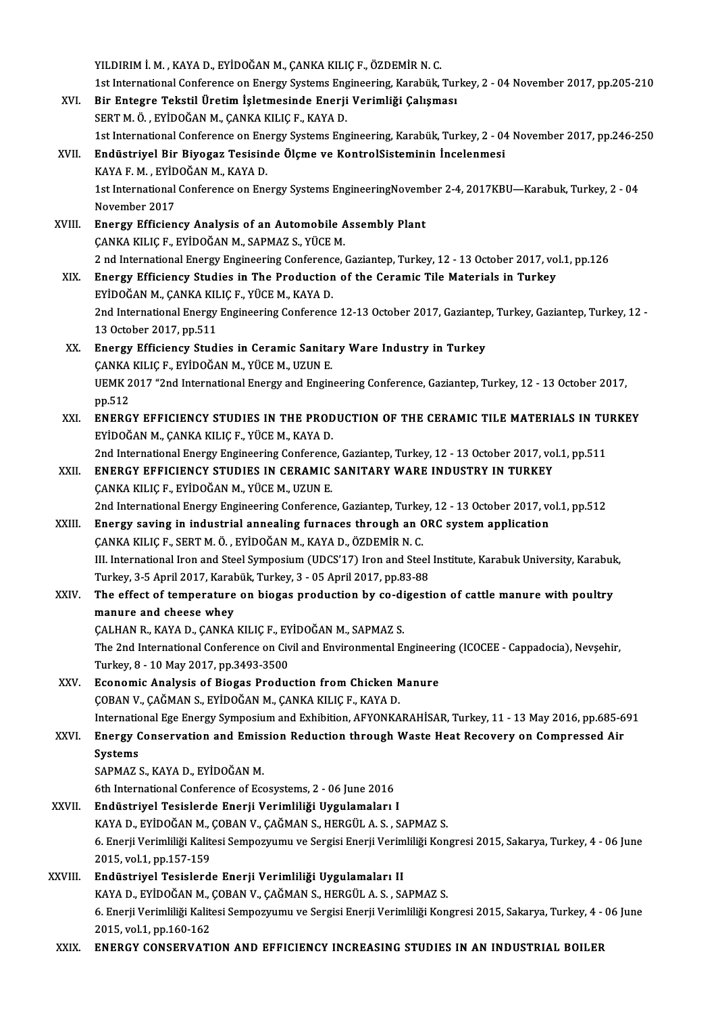YILDIRIMİ.M. ,KAYAD.,EYİDOĞANM.,ÇANKAKILIÇF.,ÖZDEMİRN.C. YILDIRIM İ. M. , KAYA D., EYİDOĞAN M., ÇANKA KILIÇ F., ÖZDEMİR N. C.<br>1st International Conference on Energy Systems Engineering, Karabük, Turkey, 2 - 04 November 2017, pp.205-210<br>Bir Entegne Tekstil Ünetim İsletmesinde Ene XVI. Bir Entegre Tekstil Üretim İşletmesinde Enerji Verimliği Çalışması<br>SERT M. Ö., EYİDOĞAN M., ÇANKA KILIÇ F., KAYA D. 1st International Conference on Energy Systems Eng<br>Bir Entegre Tekstil Üretim İşletmesinde Enerji<br>SERT M. Ö., EYİDOĞAN M., ÇANKA KILIÇ F., KAYA D.<br>1st International Conference on Energy Systems Eng Bir Entegre Tekstil Üretim İşletmesinde Enerji Verimliği Çalışması<br>SERT M. Ö., EYİDOĞAN M., ÇANKA KILIÇ F., KAYA D.<br>1st International Conference on Energy Systems Engineering, Karabük, Turkey, 2 - 04 November 2017, pp.246-XVII. Endüstriyel Bir Biyogaz Tesisinde Ölçme ve KontrolSisteminin İncelenmesi 1st International Conference on Ene<br>Endüstriyel Bir Biyogaz Tesisine<br>KAYA F. M., EYİDOĞAN M., KAYA D.<br>1st International Conference on Ene 1st International Conference on Energy Systems EngineeringNovember 2-4, 2017KBU—Karabuk, Turkey, 2 - 04<br>November 2017 KAYA F. M., EYİDOĞAN M., KAYA D. 1st International Conference on Energy Systems EngineeringNoveml<br>November 2017<br>XVIII. Energy Efficiency Analysis of an Automobile Assembly Plant<br>CANKA KILICE EVIDOČAN M. SAPMAZ S. VÜCE M November 2017<br>Energy Efficiency Analysis of an Automobile A<br>ÇANKA KILIÇ F., EYİDOĞAN M., SAPMAZ S., YÜCE M.<br>2 nd International Energy Engineering Conference 2 nd InternationalEnergyEngineeringConference,Gaziantep,Turkey,12 -13October 2017,vol.1,pp.126 XIX. Energy Efficiency Studies in The Production of the Ceramic Tile Materials in Turkey 2 nd International Energy Engineering Conference<br>Energy Efficiency Studies in The Production<br>EYİDOĞAN M., ÇANKA KILIÇ F., YÜCE M., KAYA D. Energy Efficiency Studies in The Production of the Ceramic Tile Materials in Turkey<br>EYİDOĞAN M., ÇANKA KILIÇ F., YÜCE M., KAYA D.<br>2nd International Energy Engineering Conference 12-13 October 2017, Gaziantep, Turkey, Gazia EYİDOĞAN M., ÇANKA KIL<br>2nd International Energy<br>13 October 2017, pp.511<br>Energy Efficionay Studi 2nd International Energy Engineering Conference 12-13 October 2017, Gazianter<br>13 October 2017, pp.511<br>XX. Energy Efficiency Studies in Ceramic Sanitary Ware Industry in Turkey 13 October 2017, pp.511<br>XX. Energy Efficiency Studies in Ceramic Sanitary Ware Industry in Turkey<br>CANKA KILIC F., EYİDOĞAN M., YÜCE M., UZUN E. Energy Efficiency Studies in Ceramic Sanitary Ware Industry in Turkey<br>ÇANKA KILIÇ F., EYİDOĞAN M., YÜCE M., UZUN E.<br>UEMK 2017 "2nd International Energy and Engineering Conference, Gaziantep, Turkey, 12 - 13 October 2017,<br>n CANKA<br>UEMK 2<br>pp.512<br>ENERC UEMK 2017 "2nd International Energy and Engineering Conference, Gaziantep, Turkey, 12 - 13 October 2017,<br>pp.512<br>XXI. ENERGY EFFICIENCY STUDIES IN THE PRODUCTION OF THE CERAMIC TILE MATERIALS IN TURKEY<br>EVIDOČAN M. CANKA KU pp.512<br><mark>ENERGY EFFICIENCY STUDIES IN THE PROD</mark><br>EYİDOĞAN M., ÇANKA KILIÇ F., YÜCE M., KAYA D.<br>2nd International Energy Engineering Conference ENERGY EFFICIENCY STUDIES IN THE PRODUCTION OF THE CERAMIC TILE MATERIALS IN TU<br>EYİDOĞAN M., ÇANKA KILIÇ F., YÜCE M., KAYA D.<br>2nd International Energy Engineering Conference, Gaziantep, Turkey, 12 - 13 October 2017, vol.1, EYİDOĞAN M., ÇANKA KILIÇ F., YÜCE M., KAYA D.<br>2nd International Energy Engineering Conference, Gaziantep, Turkey, 12 - 13 October 2017, vo<br>XXII. ENERGY EFFICIENCY STUDIES IN CERAMIC SANITARY WARE INDUSTRY IN TURKEY<br>CANKA K 2nd International Energy Engineering Conference<br>ENERGY EFFICIENCY STUDIES IN CERAMIC<br>ÇANKA KILIÇ F., EYİDOĞAN M., YÜCE M., UZUN E. ENERGY EFFICIENCY STUDIES IN CERAMIC SANITARY WARE INDUSTRY IN TURKEY<br>ÇANKA KILIÇ F., EYİDOĞAN M., YÜCE M., UZUN E.<br>2nd International Energy Engineering Conference, Gaziantep, Turkey, 12 - 13 October 2017, vol.1, pp.512<br>En CANKA KILIÇ F., EYİDOĞAN M., YÜCE M., UZUN E.<br>2nd International Energy Engineering Conference, Gaziantep, Turkey, 12 - 13 October 2017, v<br>2XIII. Energy saving in industrial annealing furnaces through an ORC system applicat 2nd International Energy Engineering Conference, Gaziantep, Turke<br>Energy saving in industrial annealing furnaces through an C<br>CANKA KILIÇ F., SERT M. Ö. , EYİDOĞAN M., KAYA D., ÖZDEMİR N. C.<br>III. International Iren and Ste Energy saving in industrial annealing furnaces through an ORC system application<br>ÇANKA KILIÇ F., SERT M. Ö. , EYİDOĞAN M., KAYA D., ÖZDEMİR N. C.<br>III. International Iron and Steel Symposium (UDCS'17) Iron and Steel Institu CANKA KILIC F., SERT M. Ö. , EYİDOĞAN M., KAYA D., ÖZDEMİR N. C.<br>III. International Iron and Steel Symposium (UDCS'17) Iron and Steel<br>Turkey, 3-5 April 2017, Karabük, Turkey, 3 - 05 April 2017, pp.83-88<br>The effect of tempe III. International Iron and Steel Symposium (UDCS'17) Iron and Steel Institute, Karabuk University, Karabuk<br>Turkey, 3-5 April 2017, Karabük, Turkey, 3 - 05 April 2017, pp.83-88<br>XXIV. The effect of temperature on biogas pro Turkey, 3-5 April 2017, Karabük, Turkey, 3 - 05 April 2017, pp.83-88<br>The effect of temperature on biogas production by co-digestion of cattle manure with poultry<br>manure and cheese whey The effect of temperature on biogas production by co-di<br>manure and cheese whey<br>ÇALHAN R., KAYA D., ÇANKA KILIÇ F., EYİDOĞAN M., SAPMAZ S.<br>The 2nd International Conference on Givil and Environmental E. manure and cheese whey<br>ÇALHAN R., KAYA D., ÇANKA KILIÇ F., EYİDOĞAN M., SAPMAZ S.<br>Turkay 8, .10 May 2017, np.3493, 3500. CALHAN R., KAYA D., CANKA KILIC F., EY<br>The 2nd International Conference on Civ<br>Turkey, 8 - 10 May 2017, pp.3493-3500<br>Feonomia Analysia of Biogas Buodus The 2nd International Conference on Civil and Environmental Engineer<br>Turkey, 8 - 10 May 2017, pp.3493-3500<br>XXV. Economic Analysis of Biogas Production from Chicken Manure<br>COBAN V. CAČMAN S. EVIDOČAN M. CANKA KUJC E. KAYA D Turkey, 8 - 10 May 2017, pp.3493-3500<br>Economic Analysis of Biogas Production from Chicken Manure<br>ÇOBAN V., ÇAĞMAN S., EYİDOĞAN M., ÇANKA KILIÇ F., KAYA D. Economic Analysis of Biogas Production from Chicken Manure<br>ÇOBAN V., ÇAĞMAN S., EYİDOĞAN M., ÇANKA KILIÇ F., KAYA D.<br>International Ege Energy Symposium and Exhibition, AFYONKARAHİSAR, Turkey, 11 - 13 May 2016, pp.685-691<br>E COBAN V., ÇAĞMAN S., EYİDOĞAN M., ÇANKA KILIÇ F., KAYA D.<br>International Ege Energy Symposium and Exhibition, AFYONKARAHİSAR, Turkey, 11 - 13 May 2016, pp.685-6<br>XXVI. Energy Conservation and Emission Reduction through W Internatic<br>Energy C<br>Systems<br>SARMAZ Energy Conservation and Emission Reduction through Waste Heat Recovery on Compressed Air Systems<br>SAPMAZ S., KAYA D., EYİDOĞAN M. 6th International Conference of Ecosystems, 2 - 06 June 2016 XXVII. Endüstriyel Tesislerde Enerji Verimliliği Uygulamaları I 6th International Conference of Ecosystems, 2 - 06 June 2016<br>Endüstriyel Tesislerde Enerji Verimliliği Uygulamaları I<br>KAYA D., EYİDOĞAN M., ÇOBAN V., ÇAĞMAN S., HERGÜL A. S. , SAPMAZ S.<br>6. Enerji Verimliliği Kalitesi Semne 6. Enerji Verimliliği Kalitesi Sempozyumu ve Sergisi Enerji Verimliliği Kongresi 2015, Sakarya, Turkey, 4 - 06 June<br>2015, vol.1, pp.157-159 KAYA D., EYİDOĞAN M., (<br>6. Enerji Verimliliği Kalit<br>2015, vol.1, pp.157-159<br>Endüstriyal Tesisland XXVIII. Endüstriyel Tesislerde Enerji Verimliliği Uygulamaları II 2015, vol.1, pp.157-159<br>Endüstriyel Tesislerde Enerji Verimliliği Uygulamaları II<br>KAYA D., EYİDOĞAN M., ÇOBAN V., ÇAĞMAN S., HERGÜL A. S. , SAPMAZ S.<br>6. Enerji Verimliliği Kalitesi Semnegyumu ve Sergisi Enerji Verimliliği 6. Enerji Verimliliği Kalitesi Sempozyumu ve Sergisi Enerji Verimliliği Kongresi 2015, Sakarya, Turkey, 4 - 06 June<br>2015, vol.1, pp.160-162 KAYA D., EYİDOĞAN M., (<br>6. Enerji Verimliliği Kalit<br>2015, vol.1, pp.160-162<br>ENERCY CONSERVATI XXIX. ENERGY CONSERVATION AND EFFICIENCY INCREASING STUDIES IN AN INDUSTRIAL BOILER